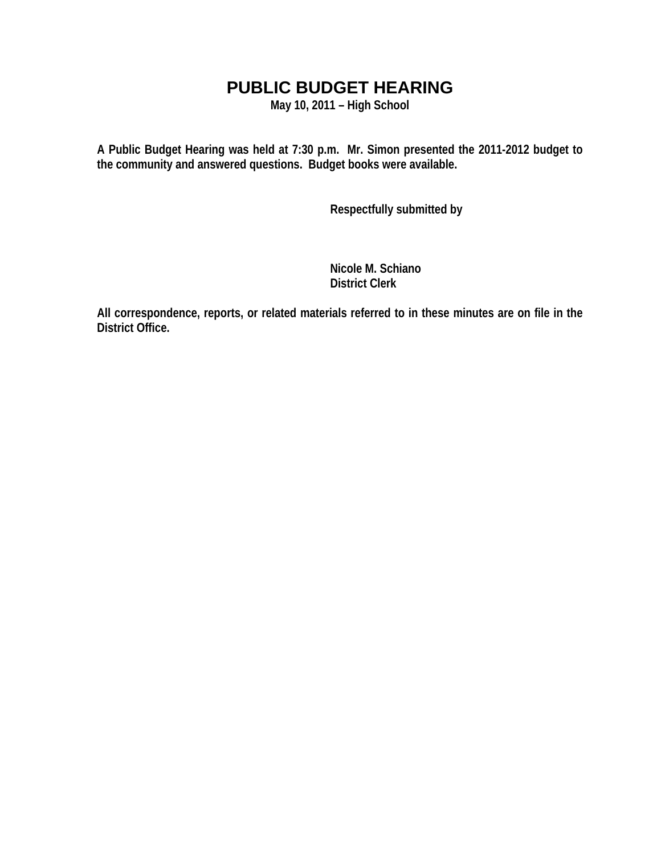### **PUBLIC BUDGET HEARING**

**May 10, 2011 – High School** 

**A Public Budget Hearing was held at 7:30 p.m. Mr. Simon presented the 2011-2012 budget to the community and answered questions. Budget books were available.** 

 **Respectfully submitted by** 

 **Nicole M. Schiano District Clerk**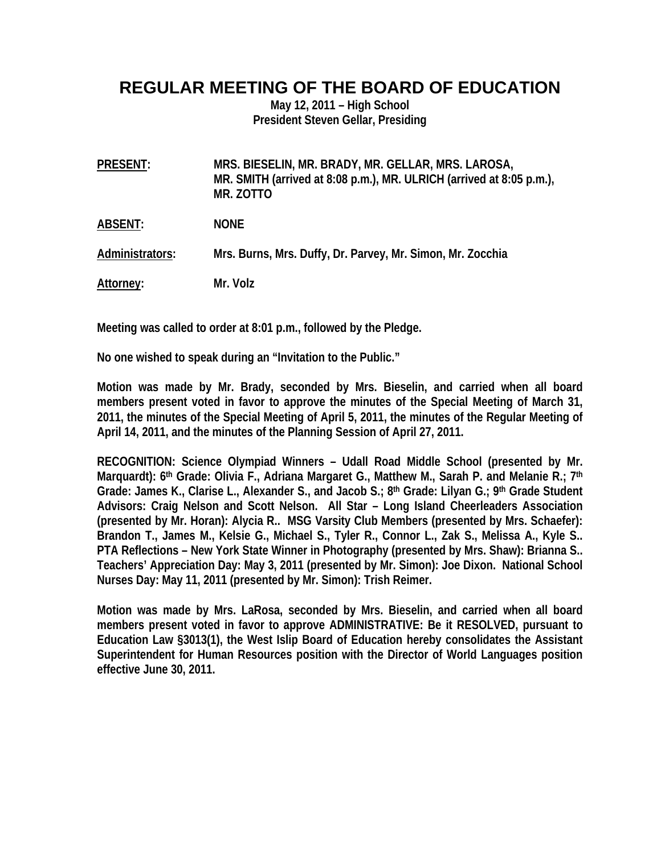### **REGULAR MEETING OF THE BOARD OF EDUCATION**

**May 12, 2011 – High School President Steven Gellar, Presiding** 

| <b>PRESENT:</b> | MRS. BIESELIN, MR. BRADY, MR. GELLAR, MRS. LAROSA,<br>MR. SMITH (arrived at 8:08 p.m.), MR. ULRICH (arrived at 8:05 p.m.),<br>MR. ZOTTO |
|-----------------|-----------------------------------------------------------------------------------------------------------------------------------------|
| ABSENT:         | <b>NONE</b>                                                                                                                             |
| Administrators: | Mrs. Burns, Mrs. Duffy, Dr. Parvey, Mr. Simon, Mr. Zocchia                                                                              |
| Attorney:       | Mr. Volz                                                                                                                                |

**Meeting was called to order at 8:01 p.m., followed by the Pledge.** 

**No one wished to speak during an "Invitation to the Public."** 

**Motion was made by Mr. Brady, seconded by Mrs. Bieselin, and carried when all board members present voted in favor to approve the minutes of the Special Meeting of March 31, 2011, the minutes of the Special Meeting of April 5, 2011, the minutes of the Regular Meeting of April 14, 2011, and the minutes of the Planning Session of April 27, 2011.** 

**RECOGNITION: Science Olympiad Winners – Udall Road Middle School (presented by Mr. Marquardt): 6th Grade: Olivia F., Adriana Margaret G., Matthew M., Sarah P. and Melanie R.; 7th** Grade: James K., Clarise L., Alexander S., and Jacob S.; 8<sup>th</sup> Grade: Lilyan G.; 9<sup>th</sup> Grade Student **Advisors: Craig Nelson and Scott Nelson. All Star – Long Island Cheerleaders Association (presented by Mr. Horan): Alycia R.. MSG Varsity Club Members (presented by Mrs. Schaefer): Brandon T., James M., Kelsie G., Michael S., Tyler R., Connor L., Zak S., Melissa A., Kyle S.. PTA Reflections – New York State Winner in Photography (presented by Mrs. Shaw): Brianna S.. Teachers' Appreciation Day: May 3, 2011 (presented by Mr. Simon): Joe Dixon. National School Nurses Day: May 11, 2011 (presented by Mr. Simon): Trish Reimer.** 

**Motion was made by Mrs. LaRosa, seconded by Mrs. Bieselin, and carried when all board members present voted in favor to approve ADMINISTRATIVE: Be it RESOLVED, pursuant to Education Law §3013(1), the West Islip Board of Education hereby consolidates the Assistant Superintendent for Human Resources position with the Director of World Languages position effective June 30, 2011.**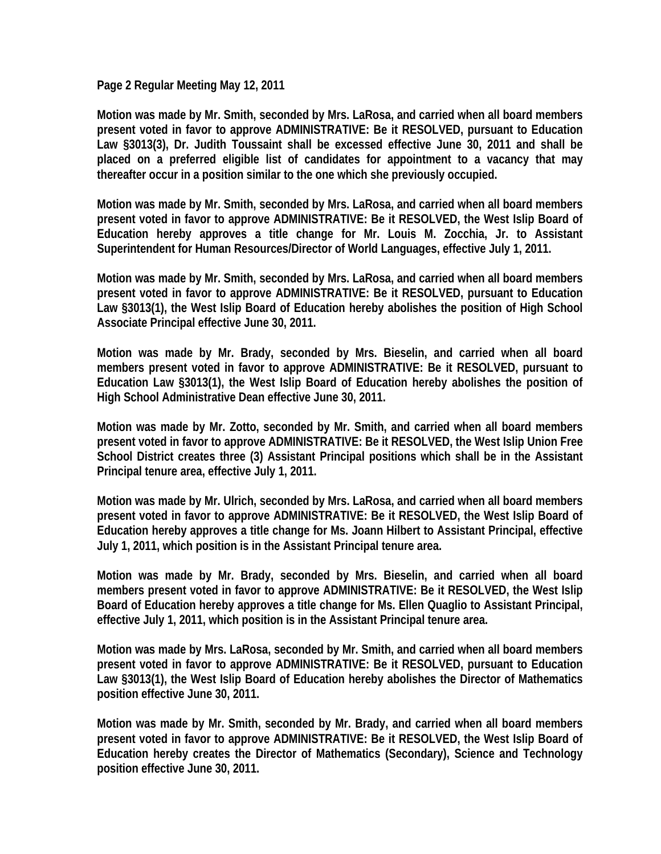**Page 2 Regular Meeting May 12, 2011** 

**Motion was made by Mr. Smith, seconded by Mrs. LaRosa, and carried when all board members present voted in favor to approve ADMINISTRATIVE: Be it RESOLVED, pursuant to Education Law §3013(3), Dr. Judith Toussaint shall be excessed effective June 30, 2011 and shall be placed on a preferred eligible list of candidates for appointment to a vacancy that may thereafter occur in a position similar to the one which she previously occupied.** 

**Motion was made by Mr. Smith, seconded by Mrs. LaRosa, and carried when all board members present voted in favor to approve ADMINISTRATIVE: Be it RESOLVED, the West Islip Board of Education hereby approves a title change for Mr. Louis M. Zocchia, Jr. to Assistant Superintendent for Human Resources/Director of World Languages, effective July 1, 2011.** 

**Motion was made by Mr. Smith, seconded by Mrs. LaRosa, and carried when all board members present voted in favor to approve ADMINISTRATIVE: Be it RESOLVED, pursuant to Education Law §3013(1), the West Islip Board of Education hereby abolishes the position of High School Associate Principal effective June 30, 2011.** 

**Motion was made by Mr. Brady, seconded by Mrs. Bieselin, and carried when all board members present voted in favor to approve ADMINISTRATIVE: Be it RESOLVED, pursuant to Education Law §3013(1), the West Islip Board of Education hereby abolishes the position of High School Administrative Dean effective June 30, 2011.** 

**Motion was made by Mr. Zotto, seconded by Mr. Smith, and carried when all board members present voted in favor to approve ADMINISTRATIVE: Be it RESOLVED, the West Islip Union Free School District creates three (3) Assistant Principal positions which shall be in the Assistant Principal tenure area, effective July 1, 2011.** 

**Motion was made by Mr. Ulrich, seconded by Mrs. LaRosa, and carried when all board members present voted in favor to approve ADMINISTRATIVE: Be it RESOLVED, the West Islip Board of Education hereby approves a title change for Ms. Joann Hilbert to Assistant Principal, effective July 1, 2011, which position is in the Assistant Principal tenure area.** 

**Motion was made by Mr. Brady, seconded by Mrs. Bieselin, and carried when all board members present voted in favor to approve ADMINISTRATIVE: Be it RESOLVED, the West Islip Board of Education hereby approves a title change for Ms. Ellen Quaglio to Assistant Principal, effective July 1, 2011, which position is in the Assistant Principal tenure area.** 

**Motion was made by Mrs. LaRosa, seconded by Mr. Smith, and carried when all board members present voted in favor to approve ADMINISTRATIVE: Be it RESOLVED, pursuant to Education Law §3013(1), the West Islip Board of Education hereby abolishes the Director of Mathematics position effective June 30, 2011.** 

**Motion was made by Mr. Smith, seconded by Mr. Brady, and carried when all board members present voted in favor to approve ADMINISTRATIVE: Be it RESOLVED, the West Islip Board of Education hereby creates the Director of Mathematics (Secondary), Science and Technology position effective June 30, 2011.**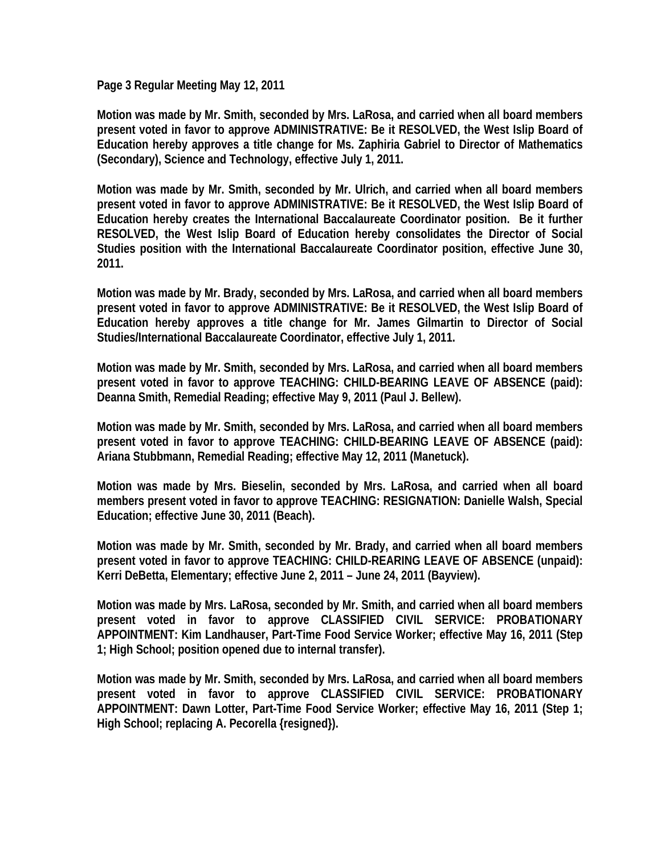**Page 3 Regular Meeting May 12, 2011** 

**Motion was made by Mr. Smith, seconded by Mrs. LaRosa, and carried when all board members present voted in favor to approve ADMINISTRATIVE: Be it RESOLVED, the West Islip Board of Education hereby approves a title change for Ms. Zaphiria Gabriel to Director of Mathematics (Secondary), Science and Technology, effective July 1, 2011.** 

**Motion was made by Mr. Smith, seconded by Mr. Ulrich, and carried when all board members present voted in favor to approve ADMINISTRATIVE: Be it RESOLVED, the West Islip Board of Education hereby creates the International Baccalaureate Coordinator position. Be it further RESOLVED, the West Islip Board of Education hereby consolidates the Director of Social Studies position with the International Baccalaureate Coordinator position, effective June 30, 2011.** 

**Motion was made by Mr. Brady, seconded by Mrs. LaRosa, and carried when all board members present voted in favor to approve ADMINISTRATIVE: Be it RESOLVED, the West Islip Board of Education hereby approves a title change for Mr. James Gilmartin to Director of Social Studies/International Baccalaureate Coordinator, effective July 1, 2011.** 

**Motion was made by Mr. Smith, seconded by Mrs. LaRosa, and carried when all board members present voted in favor to approve TEACHING: CHILD-BEARING LEAVE OF ABSENCE (paid): Deanna Smith, Remedial Reading; effective May 9, 2011 (Paul J. Bellew).** 

**Motion was made by Mr. Smith, seconded by Mrs. LaRosa, and carried when all board members present voted in favor to approve TEACHING: CHILD-BEARING LEAVE OF ABSENCE (paid): Ariana Stubbmann, Remedial Reading; effective May 12, 2011 (Manetuck).** 

**Motion was made by Mrs. Bieselin, seconded by Mrs. LaRosa, and carried when all board members present voted in favor to approve TEACHING: RESIGNATION: Danielle Walsh, Special Education; effective June 30, 2011 (Beach).** 

**Motion was made by Mr. Smith, seconded by Mr. Brady, and carried when all board members present voted in favor to approve TEACHING: CHILD-REARING LEAVE OF ABSENCE (unpaid): Kerri DeBetta, Elementary; effective June 2, 2011 – June 24, 2011 (Bayview).** 

**Motion was made by Mrs. LaRosa, seconded by Mr. Smith, and carried when all board members present voted in favor to approve CLASSIFIED CIVIL SERVICE: PROBATIONARY APPOINTMENT: Kim Landhauser, Part-Time Food Service Worker; effective May 16, 2011 (Step 1; High School; position opened due to internal transfer).** 

**Motion was made by Mr. Smith, seconded by Mrs. LaRosa, and carried when all board members present voted in favor to approve CLASSIFIED CIVIL SERVICE: PROBATIONARY APPOINTMENT: Dawn Lotter, Part-Time Food Service Worker; effective May 16, 2011 (Step 1; High School; replacing A. Pecorella {resigned}).**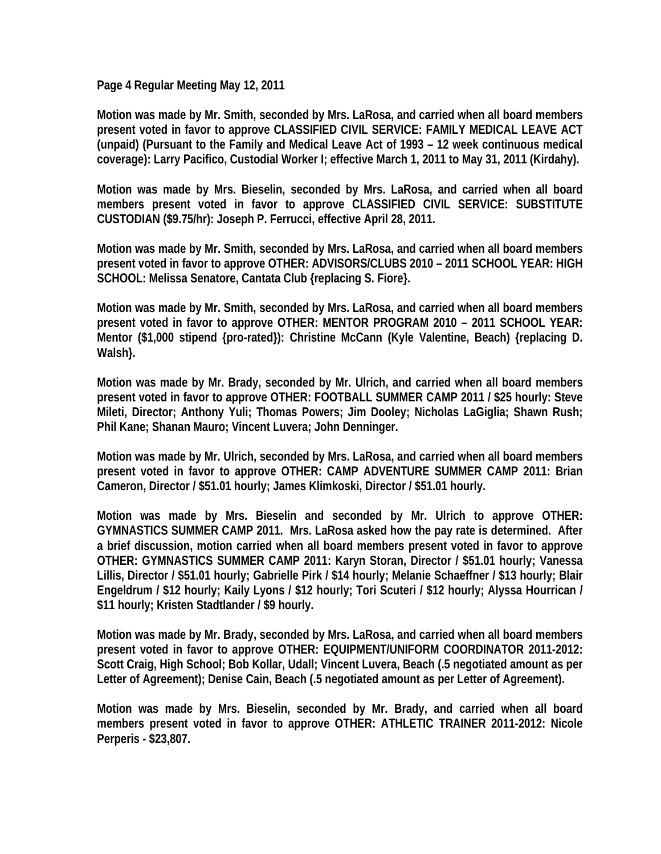**Page 4 Regular Meeting May 12, 2011** 

**Motion was made by Mr. Smith, seconded by Mrs. LaRosa, and carried when all board members present voted in favor to approve CLASSIFIED CIVIL SERVICE: FAMILY MEDICAL LEAVE ACT (unpaid) (Pursuant to the Family and Medical Leave Act of 1993 – 12 week continuous medical coverage): Larry Pacifico, Custodial Worker I; effective March 1, 2011 to May 31, 2011 (Kirdahy).** 

**Motion was made by Mrs. Bieselin, seconded by Mrs. LaRosa, and carried when all board members present voted in favor to approve CLASSIFIED CIVIL SERVICE: SUBSTITUTE CUSTODIAN (\$9.75/hr): Joseph P. Ferrucci, effective April 28, 2011.** 

**Motion was made by Mr. Smith, seconded by Mrs. LaRosa, and carried when all board members present voted in favor to approve OTHER: ADVISORS/CLUBS 2010 – 2011 SCHOOL YEAR: HIGH SCHOOL: Melissa Senatore, Cantata Club {replacing S. Fiore}.** 

**Motion was made by Mr. Smith, seconded by Mrs. LaRosa, and carried when all board members present voted in favor to approve OTHER: MENTOR PROGRAM 2010 – 2011 SCHOOL YEAR: Mentor (\$1,000 stipend {pro-rated}): Christine McCann (Kyle Valentine, Beach) {replacing D. Walsh}.** 

**Motion was made by Mr. Brady, seconded by Mr. Ulrich, and carried when all board members present voted in favor to approve OTHER: FOOTBALL SUMMER CAMP 2011 / \$25 hourly: Steve Mileti, Director; Anthony Yuli; Thomas Powers; Jim Dooley; Nicholas LaGiglia; Shawn Rush; Phil Kane; Shanan Mauro; Vincent Luvera; John Denninger.** 

**Motion was made by Mr. Ulrich, seconded by Mrs. LaRosa, and carried when all board members present voted in favor to approve OTHER: CAMP ADVENTURE SUMMER CAMP 2011: Brian Cameron, Director / \$51.01 hourly; James Klimkoski, Director / \$51.01 hourly.** 

**Motion was made by Mrs. Bieselin and seconded by Mr. Ulrich to approve OTHER: GYMNASTICS SUMMER CAMP 2011. Mrs. LaRosa asked how the pay rate is determined. After a brief discussion, motion carried when all board members present voted in favor to approve OTHER: GYMNASTICS SUMMER CAMP 2011: Karyn Storan, Director / \$51.01 hourly; Vanessa Lillis, Director / \$51.01 hourly; Gabrielle Pirk / \$14 hourly; Melanie Schaeffner / \$13 hourly; Blair Engeldrum / \$12 hourly; Kaily Lyons / \$12 hourly; Tori Scuteri / \$12 hourly; Alyssa Hourrican / \$11 hourly; Kristen Stadtlander / \$9 hourly.** 

**Motion was made by Mr. Brady, seconded by Mrs. LaRosa, and carried when all board members present voted in favor to approve OTHER: EQUIPMENT/UNIFORM COORDINATOR 2011-2012: Scott Craig, High School; Bob Kollar, Udall; Vincent Luvera, Beach (.5 negotiated amount as per Letter of Agreement); Denise Cain, Beach (.5 negotiated amount as per Letter of Agreement).** 

**Motion was made by Mrs. Bieselin, seconded by Mr. Brady, and carried when all board members present voted in favor to approve OTHER: ATHLETIC TRAINER 2011-2012: Nicole Perperis - \$23,807.**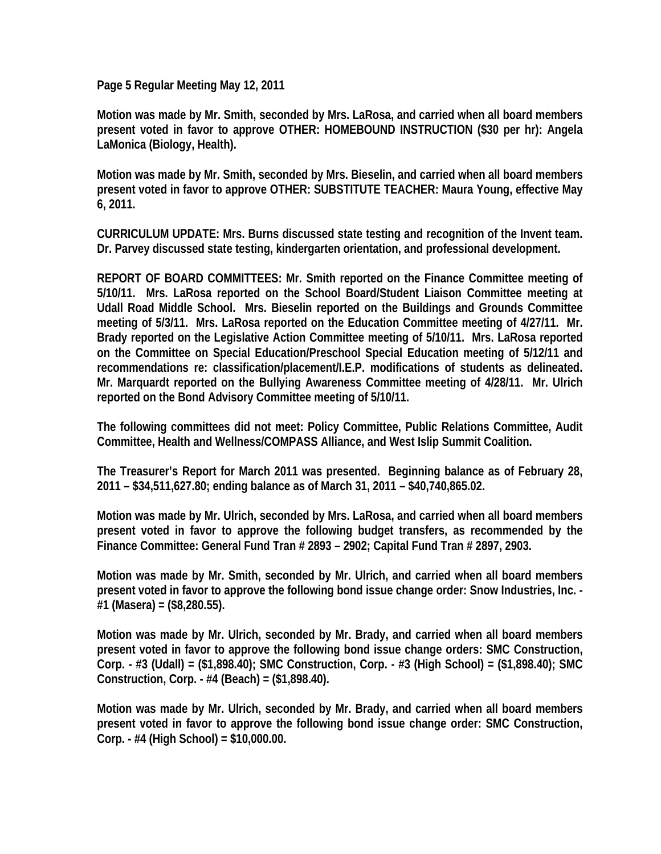**Page 5 Regular Meeting May 12, 2011** 

**Motion was made by Mr. Smith, seconded by Mrs. LaRosa, and carried when all board members present voted in favor to approve OTHER: HOMEBOUND INSTRUCTION (\$30 per hr): Angela LaMonica (Biology, Health).** 

**Motion was made by Mr. Smith, seconded by Mrs. Bieselin, and carried when all board members present voted in favor to approve OTHER: SUBSTITUTE TEACHER: Maura Young, effective May 6, 2011.**

**CURRICULUM UPDATE: Mrs. Burns discussed state testing and recognition of the Invent team. Dr. Parvey discussed state testing, kindergarten orientation, and professional development.** 

**REPORT OF BOARD COMMITTEES: Mr. Smith reported on the Finance Committee meeting of 5/10/11. Mrs. LaRosa reported on the School Board/Student Liaison Committee meeting at Udall Road Middle School. Mrs. Bieselin reported on the Buildings and Grounds Committee meeting of 5/3/11. Mrs. LaRosa reported on the Education Committee meeting of 4/27/11. Mr. Brady reported on the Legislative Action Committee meeting of 5/10/11. Mrs. LaRosa reported on the Committee on Special Education/Preschool Special Education meeting of 5/12/11 and recommendations re: classification/placement/I.E.P. modifications of students as delineated. Mr. Marquardt reported on the Bullying Awareness Committee meeting of 4/28/11. Mr. Ulrich reported on the Bond Advisory Committee meeting of 5/10/11.** 

**The following committees did not meet: Policy Committee, Public Relations Committee, Audit Committee, Health and Wellness/COMPASS Alliance, and West Islip Summit Coalition.** 

**The Treasurer's Report for March 2011 was presented. Beginning balance as of February 28, 2011 – \$34,511,627.80; ending balance as of March 31, 2011 – \$40,740,865.02.** 

**Motion was made by Mr. Ulrich, seconded by Mrs. LaRosa, and carried when all board members present voted in favor to approve the following budget transfers, as recommended by the Finance Committee: General Fund Tran # 2893 – 2902; Capital Fund Tran # 2897, 2903.** 

**Motion was made by Mr. Smith, seconded by Mr. Ulrich, and carried when all board members present voted in favor to approve the following bond issue change order: Snow Industries, Inc. - #1 (Masera) = (\$8,280.55).** 

**Motion was made by Mr. Ulrich, seconded by Mr. Brady, and carried when all board members present voted in favor to approve the following bond issue change orders: SMC Construction, Corp. - #3 (Udall) = (\$1,898.40); SMC Construction, Corp. - #3 (High School) = (\$1,898.40); SMC Construction, Corp. - #4 (Beach) = (\$1,898.40).** 

**Motion was made by Mr. Ulrich, seconded by Mr. Brady, and carried when all board members present voted in favor to approve the following bond issue change order: SMC Construction, Corp. - #4 (High School) = \$10,000.00.**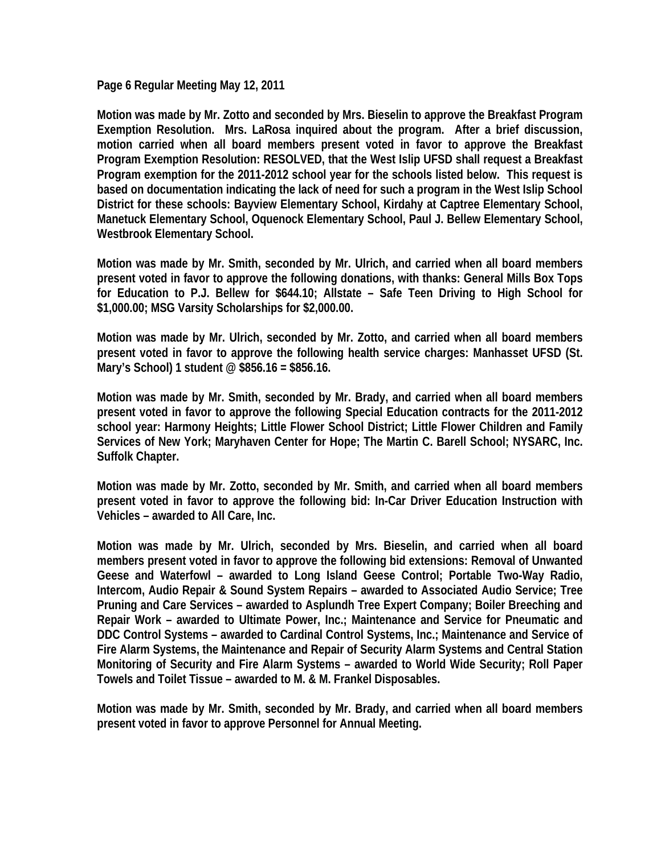**Page 6 Regular Meeting May 12, 2011** 

**Motion was made by Mr. Zotto and seconded by Mrs. Bieselin to approve the Breakfast Program Exemption Resolution. Mrs. LaRosa inquired about the program. After a brief discussion, motion carried when all board members present voted in favor to approve the Breakfast Program Exemption Resolution: RESOLVED, that the West Islip UFSD shall request a Breakfast Program exemption for the 2011-2012 school year for the schools listed below. This request is based on documentation indicating the lack of need for such a program in the West Islip School District for these schools: Bayview Elementary School, Kirdahy at Captree Elementary School, Manetuck Elementary School, Oquenock Elementary School, Paul J. Bellew Elementary School, Westbrook Elementary School.** 

**Motion was made by Mr. Smith, seconded by Mr. Ulrich, and carried when all board members present voted in favor to approve the following donations, with thanks: General Mills Box Tops for Education to P.J. Bellew for \$644.10; Allstate – Safe Teen Driving to High School for \$1,000.00; MSG Varsity Scholarships for \$2,000.00.** 

**Motion was made by Mr. Ulrich, seconded by Mr. Zotto, and carried when all board members present voted in favor to approve the following health service charges: Manhasset UFSD (St. Mary's School) 1 student @ \$856.16 = \$856.16.** 

**Motion was made by Mr. Smith, seconded by Mr. Brady, and carried when all board members present voted in favor to approve the following Special Education contracts for the 2011-2012 school year: Harmony Heights; Little Flower School District; Little Flower Children and Family Services of New York; Maryhaven Center for Hope; The Martin C. Barell School; NYSARC, Inc. Suffolk Chapter.** 

**Motion was made by Mr. Zotto, seconded by Mr. Smith, and carried when all board members present voted in favor to approve the following bid: In-Car Driver Education Instruction with Vehicles – awarded to All Care, Inc.** 

**Motion was made by Mr. Ulrich, seconded by Mrs. Bieselin, and carried when all board members present voted in favor to approve the following bid extensions: Removal of Unwanted Geese and Waterfowl – awarded to Long Island Geese Control; Portable Two-Way Radio, Intercom, Audio Repair & Sound System Repairs – awarded to Associated Audio Service; Tree Pruning and Care Services – awarded to Asplundh Tree Expert Company; Boiler Breeching and Repair Work – awarded to Ultimate Power, Inc.; Maintenance and Service for Pneumatic and DDC Control Systems – awarded to Cardinal Control Systems, Inc.; Maintenance and Service of Fire Alarm Systems, the Maintenance and Repair of Security Alarm Systems and Central Station Monitoring of Security and Fire Alarm Systems – awarded to World Wide Security; Roll Paper Towels and Toilet Tissue – awarded to M. & M. Frankel Disposables.** 

**Motion was made by Mr. Smith, seconded by Mr. Brady, and carried when all board members present voted in favor to approve Personnel for Annual Meeting.**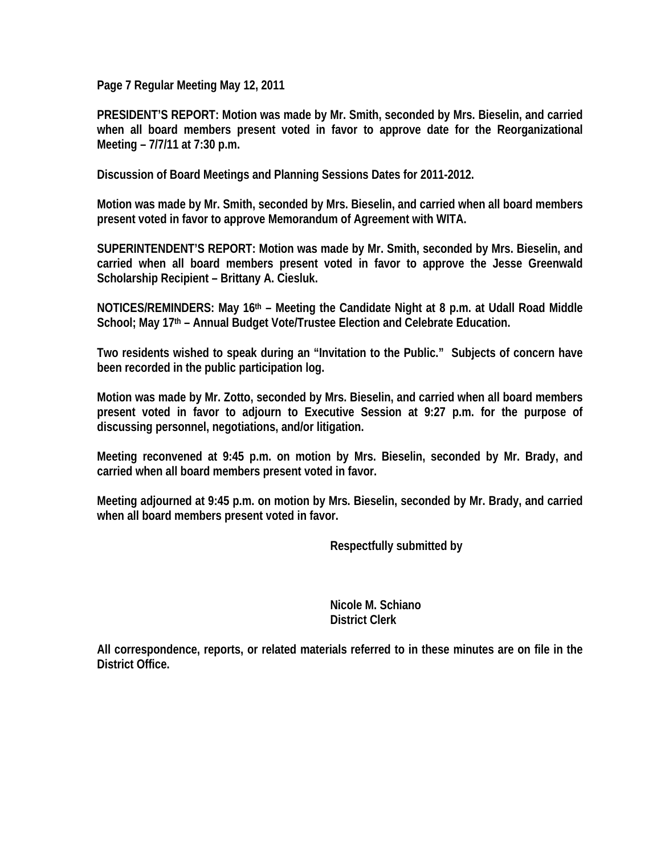**Page 7 Regular Meeting May 12, 2011** 

**PRESIDENT'S REPORT: Motion was made by Mr. Smith, seconded by Mrs. Bieselin, and carried when all board members present voted in favor to approve date for the Reorganizational Meeting – 7/7/11 at 7:30 p.m.** 

**Discussion of Board Meetings and Planning Sessions Dates for 2011-2012.** 

**Motion was made by Mr. Smith, seconded by Mrs. Bieselin, and carried when all board members present voted in favor to approve Memorandum of Agreement with WITA.** 

**SUPERINTENDENT'S REPORT: Motion was made by Mr. Smith, seconded by Mrs. Bieselin, and carried when all board members present voted in favor to approve the Jesse Greenwald Scholarship Recipient – Brittany A. Ciesluk.** 

**NOTICES/REMINDERS: May 16th – Meeting the Candidate Night at 8 p.m. at Udall Road Middle**  School; May 17<sup>th</sup> – Annual Budget Vote/Trustee Election and Celebrate Education.

**Two residents wished to speak during an "Invitation to the Public." Subjects of concern have been recorded in the public participation log.** 

**Motion was made by Mr. Zotto, seconded by Mrs. Bieselin, and carried when all board members present voted in favor to adjourn to Executive Session at 9:27 p.m. for the purpose of discussing personnel, negotiations, and/or litigation.** 

**Meeting reconvened at 9:45 p.m. on motion by Mrs. Bieselin, seconded by Mr. Brady, and carried when all board members present voted in favor.** 

**Meeting adjourned at 9:45 p.m. on motion by Mrs. Bieselin, seconded by Mr. Brady, and carried when all board members present voted in favor.** 

 **Respectfully submitted by** 

 **Nicole M. Schiano District Clerk**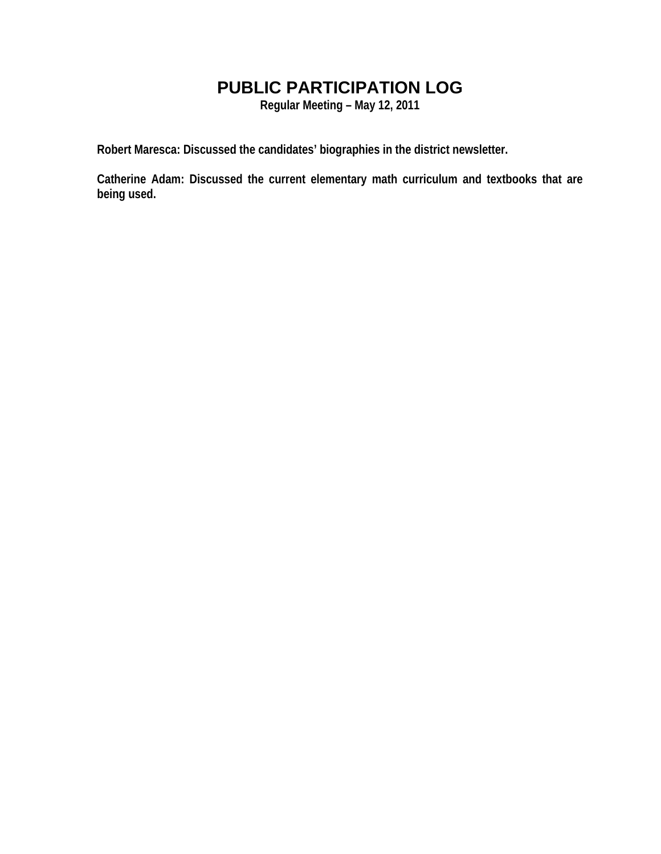# **PUBLIC PARTICIPATION LOG**

**Regular Meeting – May 12, 2011** 

**Robert Maresca: Discussed the candidates' biographies in the district newsletter.** 

**Catherine Adam: Discussed the current elementary math curriculum and textbooks that are being used.**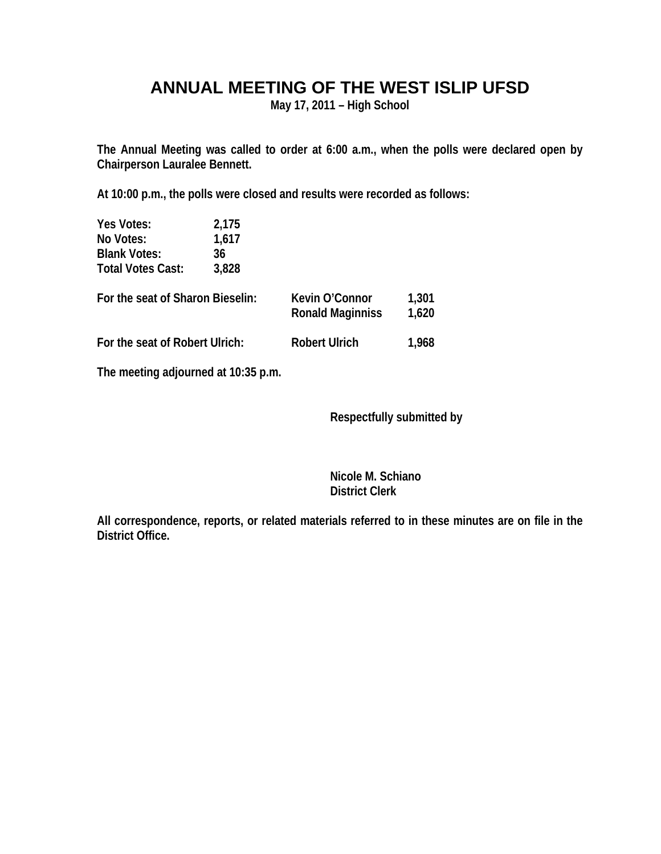## **ANNUAL MEETING OF THE WEST ISLIP UFSD**

**May 17, 2011 – High School** 

**The Annual Meeting was called to order at 6:00 a.m., when the polls were declared open by Chairperson Lauralee Bennett.** 

**At 10:00 p.m., the polls were closed and results were recorded as follows:** 

| Yes Votes:                          | 2,175 |                                    |                |
|-------------------------------------|-------|------------------------------------|----------------|
| No Votes:                           | 1,617 |                                    |                |
| <b>Blank Votes:</b>                 | 36    |                                    |                |
| <b>Total Votes Cast:</b>            | 3,828 |                                    |                |
| For the seat of Sharon Bieselin:    |       | Kevin O'Connor<br>Ronald Maginniss | 1,301<br>1,620 |
| For the seat of Robert Ulrich:      |       | <b>Robert Ulrich</b>               | 1,968          |
| The meeting adjourned at 10:35 p.m. |       |                                    |                |

 **Respectfully submitted by** 

 **Nicole M. Schiano District Clerk**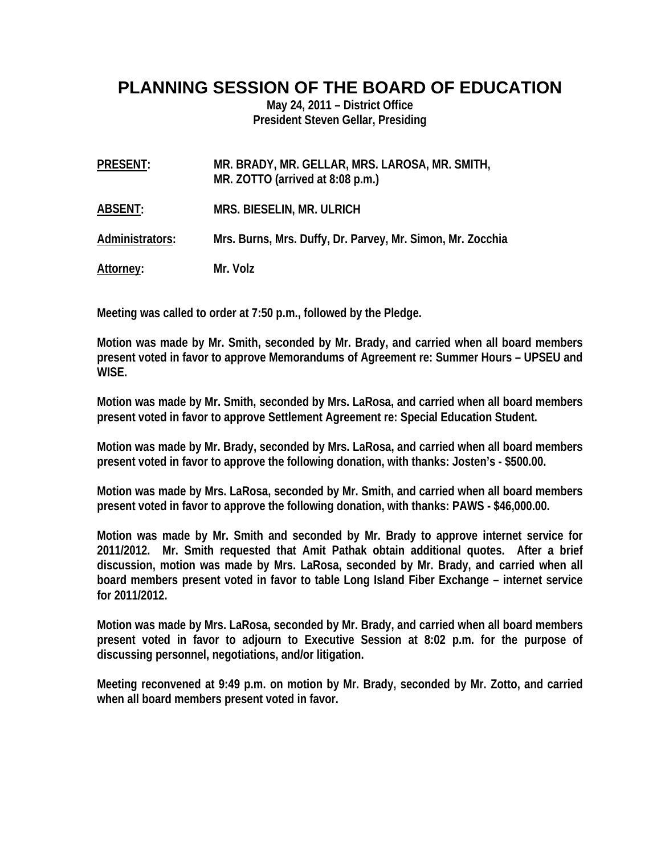### **PLANNING SESSION OF THE BOARD OF EDUCATION**

**May 24, 2011 – District Office President Steven Gellar, Presiding** 

| PRESENT:          | MR. BRADY, MR. GELLAR, MRS. LAROSA, MR. SMITH,<br>MR. ZOTTO (arrived at 8:08 p.m.) |
|-------------------|------------------------------------------------------------------------------------|
| ABSENT:           | <b>MRS. BIESELIN, MR. ULRICH</b>                                                   |
| Administrators:   | Mrs. Burns, Mrs. Duffy, Dr. Parvey, Mr. Simon, Mr. Zocchia                         |
| <u>Attorney</u> : | Mr. Volz                                                                           |

**Meeting was called to order at 7:50 p.m., followed by the Pledge.** 

**Motion was made by Mr. Smith, seconded by Mr. Brady, and carried when all board members present voted in favor to approve Memorandums of Agreement re: Summer Hours – UPSEU and WISE.** 

**Motion was made by Mr. Smith, seconded by Mrs. LaRosa, and carried when all board members present voted in favor to approve Settlement Agreement re: Special Education Student.** 

**Motion was made by Mr. Brady, seconded by Mrs. LaRosa, and carried when all board members present voted in favor to approve the following donation, with thanks: Josten's - \$500.00.** 

**Motion was made by Mrs. LaRosa, seconded by Mr. Smith, and carried when all board members present voted in favor to approve the following donation, with thanks: PAWS - \$46,000.00.** 

**Motion was made by Mr. Smith and seconded by Mr. Brady to approve internet service for 2011/2012. Mr. Smith requested that Amit Pathak obtain additional quotes. After a brief discussion, motion was made by Mrs. LaRosa, seconded by Mr. Brady, and carried when all board members present voted in favor to table Long Island Fiber Exchange – internet service for 2011/2012.** 

**Motion was made by Mrs. LaRosa, seconded by Mr. Brady, and carried when all board members present voted in favor to adjourn to Executive Session at 8:02 p.m. for the purpose of discussing personnel, negotiations, and/or litigation.** 

**Meeting reconvened at 9:49 p.m. on motion by Mr. Brady, seconded by Mr. Zotto, and carried when all board members present voted in favor.**